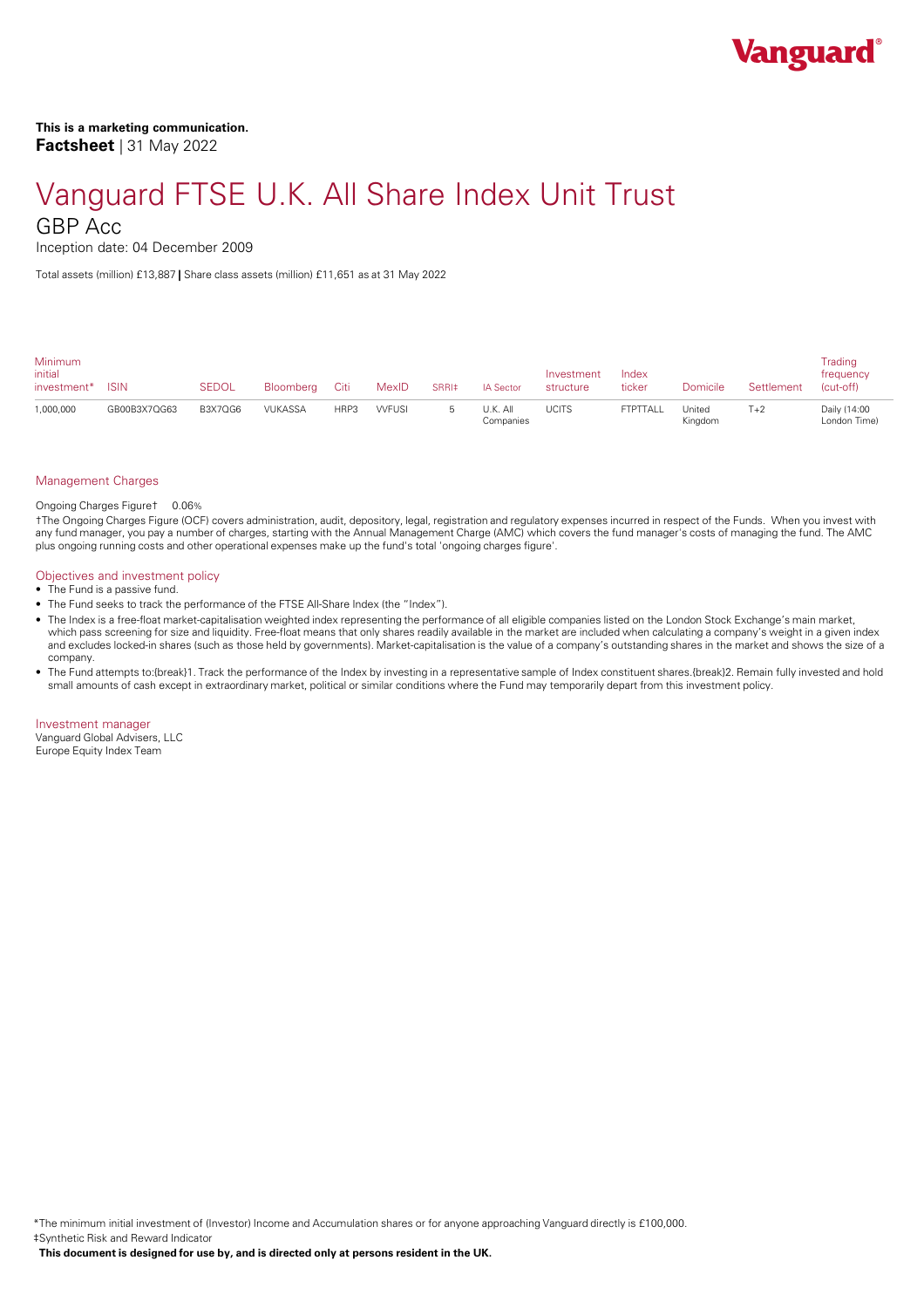

Inception date: 04 December 2009

Total assets (million) £13,887 **|** Share class assets (million) £11,651 as at 31 May 2022

| <b>Minimum</b><br>initial<br>investment* | <b>ISIN</b>  | SEDOL          | Bloomberg      | Citi | MexID         | SRRI‡ | IA Sector             | Investment<br>structure | Index<br>ticker | Domicile          | Settlement | Trading<br>frequency<br>(cut-off) |
|------------------------------------------|--------------|----------------|----------------|------|---------------|-------|-----------------------|-------------------------|-----------------|-------------------|------------|-----------------------------------|
| 1,000,000                                | GB00B3X7QG63 | <b>B3X7QG6</b> | <b>VUKASSA</b> | HRP3 | <b>VVFUSI</b> |       | J.K. All<br>Companies | <b>UCITS</b>            | FTPTTALL        | United<br>Kingdom | $T+2$      | Daily (14:00<br>London Time)      |

### Management Charges

## Ongoing Charges Figure† 0.06%

†The Ongoing Charges Figure (OCF) covers administration, audit, depository, legal, registration and regulatory expenses incurred in respect of the Funds. When you invest with any fund manager, you pay a number of charges, starting with the Annual Management Charge (AMC) which covers the fund manager's costs of managing the fund. The AMC plus ongoing running costs and other operational expenses make up the fund's total 'ongoing charges figure'.

#### Objectives and investment policy

- The Fund is a passive fund.
- The Fund seeks to track the performance of the FTSE All-Share Index (the "Index").
- The Index is a free-float market-capitalisation weighted index representing the performance of all eligible companies listed on the London Stock Exchange's main market, which pass screening for size and liquidity. Free-float means that only shares readily available in the market are included when calculating a company's weight in a given index and excludes locked-in shares (such as those held by governments). Market-capitalisation is the value of a company's outstanding shares in the market and shows the size of a company.
- The Fund attempts to:{break}1. Track the performance of the Index by investing in a representative sample of Index constituent shares.{break}2. Remain fully invested and hold small amounts of cash except in extraordinary market, political or similar conditions where the Fund may temporarily depart from this investment policy.

Investment manager Vanguard Global Advisers, LLC

Europe Equity Index Team

\*The minimum initial investment of (Investor) Income and Accumulation shares or for anyone approaching Vanguard directly is £100,000. ‡Synthetic Risk and Reward Indicator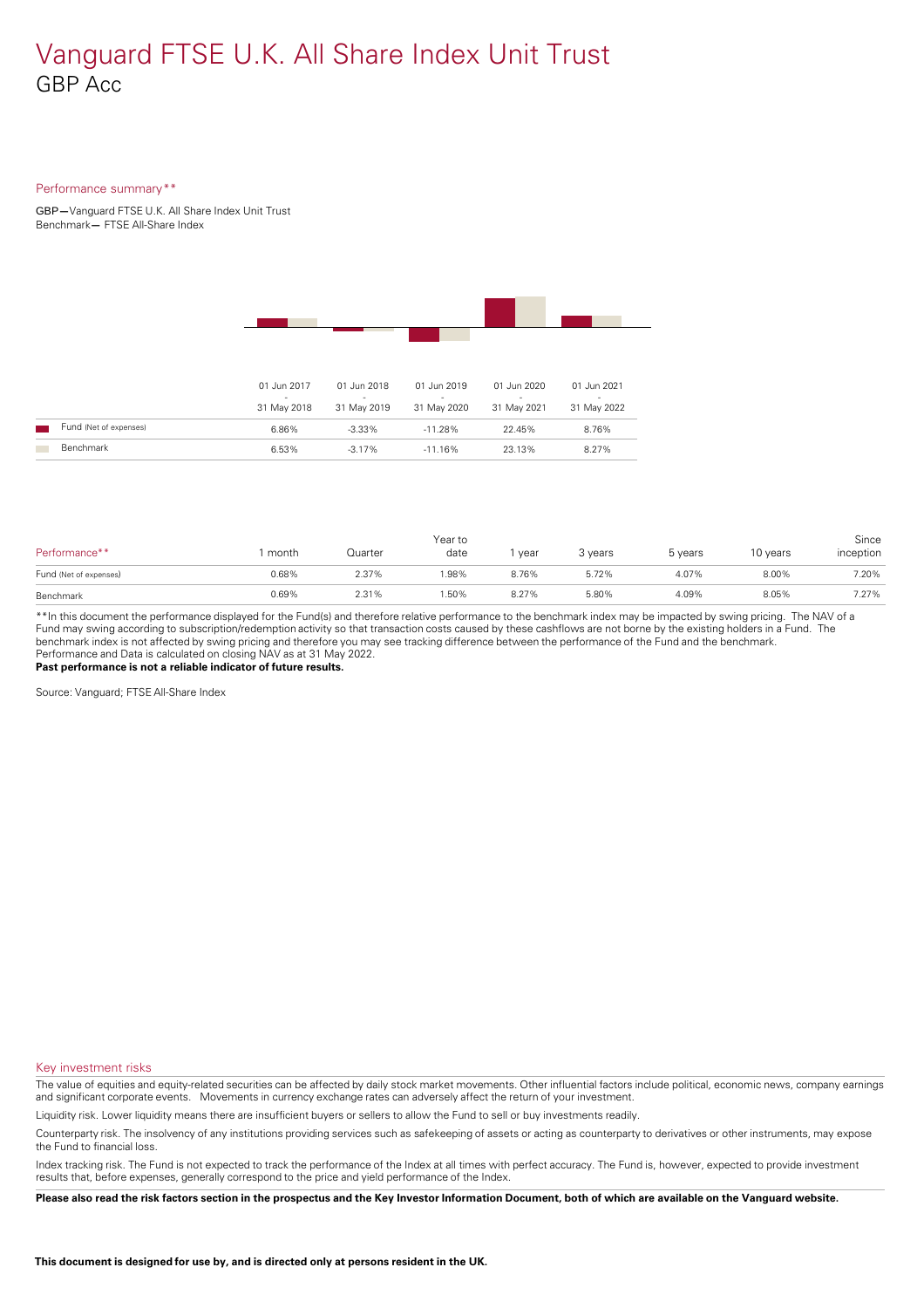#### Performance summary\*\*

GBP**—**Vanguard FTSE U.K. All Share Index Unit Trust Benchmark**—** FTSE All-Share Index



|                        | 01 Jun 2017<br>$\sim$<br>31 May 2018 | 01 Jun 2018<br>$\overline{\phantom{a}}$<br>31 May 2019 | 01 Jun 2019<br>$\overline{\phantom{a}}$<br>31 May 2020 | 01 Jun 2020<br>$\overline{\phantom{a}}$<br>31 May 2021 | 01 Jun 2021<br>$\overline{\phantom{a}}$<br>31 May 2022 |
|------------------------|--------------------------------------|--------------------------------------------------------|--------------------------------------------------------|--------------------------------------------------------|--------------------------------------------------------|
| Fund (Net of expenses) | 6.86%                                | $-3.33\%$                                              | $-11.28\%$                                             | 22.45%                                                 | 8.76%                                                  |
| Benchmark              | 6.53%                                | $-3.17\%$                                              | $-11.16\%$                                             | 23.13%                                                 | 8.27%                                                  |

| Performance**          | month | Quarter | Year to<br>date | year  | 3 years | 5 years | 10 years | Since<br>inception |
|------------------------|-------|---------|-----------------|-------|---------|---------|----------|--------------------|
| Fund (Net of expenses) | 0.68% | 2.37%   | .98%            | 8.76% | 5.72%   | 4.07%   | 8.00%    | 7.20%              |
| Benchmark              | 0.69% | 2.31%   | .50%            | 8.27% | 5.80%   | 4.09%   | 8.05%    | 7.27%              |

\*\*In this document the performance displayed for the Fund(s) and therefore relative performance to the benchmark index may be impacted by swing pricing. The NAV of a Fund may swing according to subscription/redemption activity so that transaction costs caused by these cashflows are notborne by the existing holders in a Fund. The benchmark index is not affected by swing pricing and therefore you may see tracking difference between the performance of the Fund and the benchmark. Performance and Data is calculated on closing NAV as at 31 May 2022. **Past performance is not a reliable indicator of future results.**

Source: Vanguard; FTSE All-Share Index

Key investment risks

The value of equities and equity-related securities can be affected by daily stock market movements. Other influential factors include political, economic news, company earnings and significant corporate events. Movements in currency exchange rates can adversely affect the return of your investment.

Liquidity risk. Lower liquidity means there are insufficient buyers or sellers to allow the Fund to sell or buy investments readily.

Counterparty risk. The insolvency ofany institutions providing services such as safekeeping of assets or acting as counterparty to derivatives or other instruments, may expose the Fund to financial loss.

Index tracking risk.The Fund is not expected to track the performance of the Index at all times with perfect accuracy. The Fund is, however, expected to provide investment results that, before expenses, generally correspond to the price and yield performance of the Index.

Please also read the risk factors section in the prospectus and the Key Investor Information Document, both of which are available on the Vanguard website.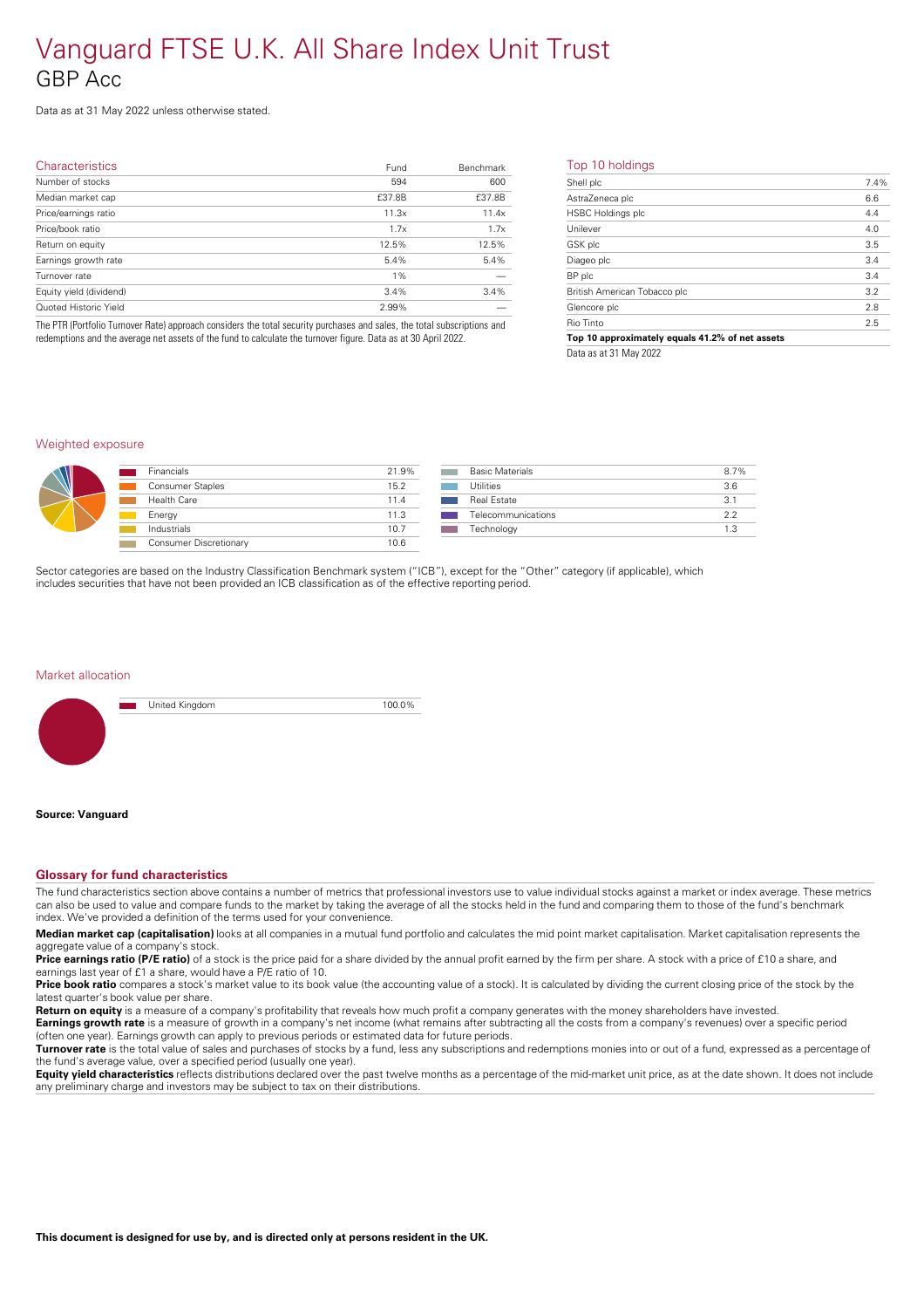Data as at 31 May 2022 unless otherwise stated.

| <b>Characteristics</b>  | Fund   | <b>Benchmark</b> | т  |
|-------------------------|--------|------------------|----|
| Number of stocks        | 594    | 600              | SI |
| Median market cap       | £37.8B | £37.8B           | A: |
| Price/earnings ratio    | 11.3x  | 11.4x            | H  |
| Price/book ratio        | 1.7x   | 1.7x             | U  |
| Return on equity        | 12.5%  | 12.5%            | G  |
| Earnings growth rate    | 5.4%   | 5.4%             | D  |
| Turnover rate           | $1\%$  |                  | B  |
| Equity yield (dividend) | 3.4%   | 3.4%             | Bı |
| Quoted Historic Yield   | 2.99%  |                  | G  |
|                         |        |                  |    |

The PTR (Portfolio Turnover Rate) approach considers the total security purchases and sales, the total subscriptions and redemptions and the average net assets of the fund to calculate the turnover figure. Data as at 30 April 2022.

#### Top 10 holdings

| Shell plc                    | 7.4% |
|------------------------------|------|
| AstraZeneca plc              | 6.6  |
| <b>HSBC Holdings plc</b>     | 4.4  |
| Unilever                     | 4.0  |
| GSK plc                      | 3.5  |
| Diageo plc                   | 3.4  |
| BP plc                       | 3.4  |
| British American Tobacco plc | 3.2  |
| Glencore plc                 | 2.8  |
| Rio Tinto                    | 2.5  |
|                              |      |

**Top 10 approximately equals 41.2% of net assets** Data as at 31 May 2022

#### Weighted exposure



| <b>Financials</b>             | 21.9% |
|-------------------------------|-------|
| <b>Consumer Staples</b>       | 15.2  |
| <b>Health Care</b>            | 11.4  |
| Energy                        | 11.3  |
| Industrials                   | 10.7  |
| <b>Consumer Discretionary</b> | 106   |
|                               |       |

| <b>Basic Materials</b> | 8.7% |
|------------------------|------|
| Utilities              | 3.6  |
| <b>Real Estate</b>     | 31   |
| Telecommunications     | ? ?  |
| Technology             | 1.3  |
|                        |      |

Sector categories are based on the Industry Classification Benchmark system ("ICB"), except for the "Other" category (if applicable), which includes securities that have not been provided an ICB classification as ofthe effective reporting period.

#### Market allocation



United Kingdom 100.0%

#### **Source: Vanguard**

### **Glossary for fund characteristics**

The fund characteristics section above contains a number of metrics that professional investors use to value individual stocks against a market or index average. These metrics can also be used to value and compare funds to the market by taking the average of all the stocks held in the fund and comparing them to those of the fund's benchmark index. We've provided a definition of the terms used for your convenience.

**Median market cap (capitalisation)** looks at all companies in a mutual fund portfolio and calculates the mid point market capitalisation. Market capitalisation represents the aggregate value of a company's stock.

Price **earnings ratio (P/E ratio)** of a stock is the price paid for a share divided by the annual profit earned by the firm per share. A stock with a price of £10 a share, and earnings last year of £1 a share, would have a P/E ratio of 10.

**Price book ratio** compares a stock's market value to its book value (the accounting value of a stock). It is calculated by dividing the current closing price of the stock by the latest quarter's book value per share.

**Return on equity** is a measure of a company's profitability that reveals how much profit a company generates with the money shareholders have invested.

**Earnings growth rate** is a measure of growth in a company's net income (what remains after subtracting all the costs from a company's revenues) over a specific period (often one year). Earnings growth can apply to previous periods or estimated data for future periods.

**Turnover rate** is the total value of sales and purchases of stocks by a fund, less any subscriptions and redemptions monies into or out of a fund, expressed as a percentage of the fund's average value, over a specified period (usually one year).

**Equity yield characteristics** reflects distributions declared over the past twelve months as a percentage of the mid-market unit price, as at the date shown. It does not include any preliminary charge and investors may be subject to tax on their distributions.